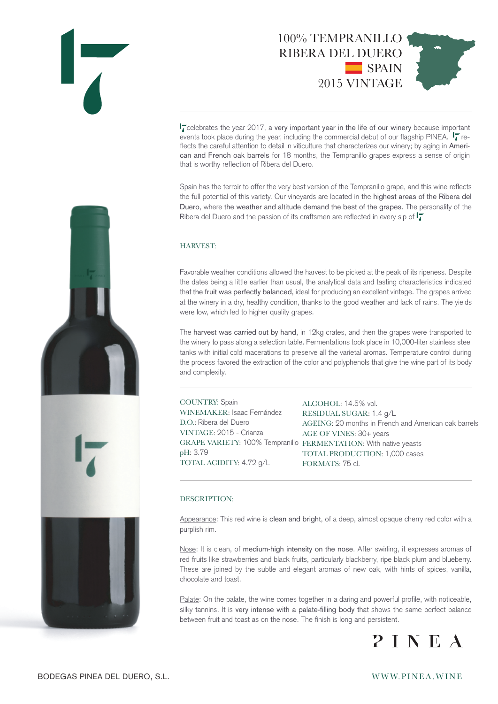



 $\mathbf{I}$  celebrates the year 2017, a very important year in the life of our winery because important events took place during the year, including the commercial debut of our flagship PINEA.  $\mathbf{I}$  reflects the careful attention to detail in viticulture that characterizes our winery; by aging in American and French oak barrels for 18 months, the Tempranillo grapes express a sense of origin that is worthy reflection of Ribera del Duero.

Spain has the terroir to offer the very best version of the Tempranillo grape, and this wine reflects the full potential of this variety. Our vineyards are located in the highest areas of the Ribera del Duero, where the weather and altitude demand the best of the grapes. The personality of the Ribera del Duero and the passion of its craftsmen are reflected in every sip of  $\mathbf{I}$ 

### HARVEST:

Favorable weather conditions allowed the harvest to be picked at the peak of its ripeness. Despite the dates being a little earlier than usual, the analytical data and tasting characteristics indicated that the fruit was perfectly balanced, ideal for producing an excellent vintage. The grapes arrived at the winery in a dry, healthy condition, thanks to the good weather and lack of rains. The yields were low, which led to higher quality grapes.

The harvest was carried out by hand, in 12kg crates, and then the grapes were transported to the winery to pass along a selection table. Fermentations took place in 10,000-liter stainless steel tanks with initial cold macerations to preserve all the varietal aromas. Temperature control during the process favored the extraction of the color and polyphenols that give the wine part of its body and complexity.

COUNTRY: Spain WINEMAKER: Isaac Fernández D.O.: Ribera del Duero VINTAGE: 2015 - Crianza pH: 3.79 TOTAL ACIDITY: 4.72 g/L

GRAPE VARIETY: 100% Tempranillo FERMENTATION: With native yeasts ALCOHOL: 14.5% vol. RESIDUAL SUGAR: 1.4 g/L AGEING: 20 months in French and American oak barrels AGE OF VINES: 30+ years TOTAL PRODUCTION: 1,000 cases FORMATS: 75 cl.

#### DESCRIPTION:

Appearance: This red wine is clean and bright, of a deep, almost opaque cherry red color with a purplish rim.

Nose: It is clean, of medium-high intensity on the nose. After swirling, it expresses aromas of red fruits like strawberries and black fruits, particularly blackberry, ripe black plum and blueberry. These are joined by the subtle and elegant aromas of new oak, with hints of spices, vanilla, chocolate and toast.

Palate: On the palate, the wine comes together in a daring and powerful profile, with noticeable, silky tannins. It is very intense with a palate-filling body that shows the same perfect balance between fruit and toast as on the nose. The finish is long and persistent.